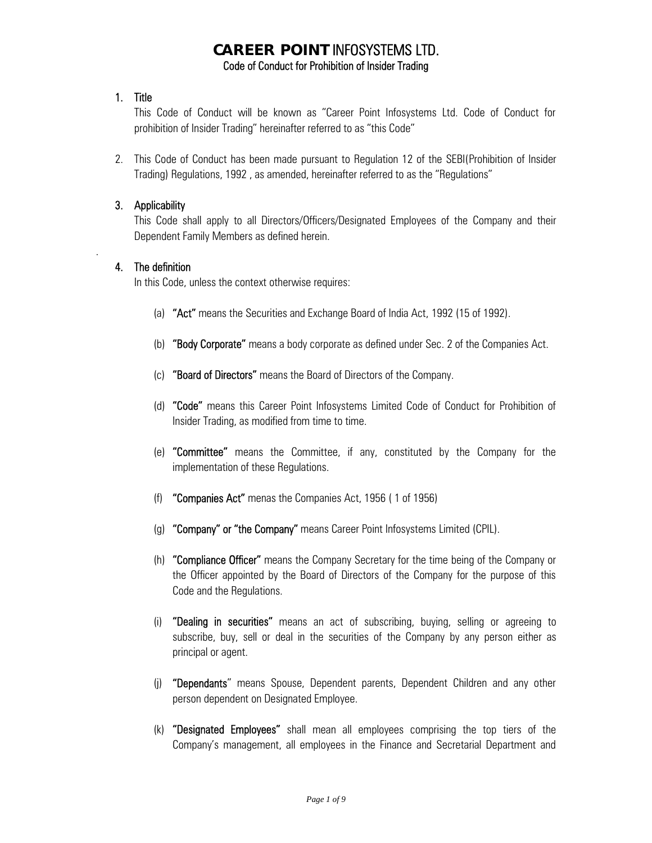# **CAREER POINT** INFOSYSTEMS LTD. Code of Conduct for Prohibition of Insider Trading

### 1. Title

This Code of Conduct will be known as "Career Point Infosystems Ltd. Code of Conduct for prohibition of Insider Trading" hereinafter referred to as "this Code"

2. This Code of Conduct has been made pursuant to Regulation 12 of the SEBI(Prohibition of Insider Trading) Regulations, 1992 , as amended, hereinafter referred to as the "Regulations"

### 3. Applicability

This Code shall apply to all Directors/Officers/Designated Employees of the Company and their Dependent Family Members as defined herein.

### 4. The definition

.

In this Code, unless the context otherwise requires:

- (a) "Act" means the Securities and Exchange Board of India Act, 1992 (15 of 1992).
- (b) "Body Corporate" means a body corporate as defined under Sec. 2 of the Companies Act.
- (c) "Board of Directors" means the Board of Directors of the Company.
- (d) "Code" means this Career Point Infosystems Limited Code of Conduct for Prohibition of Insider Trading, as modified from time to time.
- (e) "Committee" means the Committee, if any, constituted by the Company for the implementation of these Regulations.
- (f) "Companies Act" menas the Companies Act, 1956 ( 1 of 1956)
- (g) "Company" or "the Company" means Career Point Infosystems Limited (CPIL).
- (h) "Compliance Officer" means the Company Secretary for the time being of the Company or the Officer appointed by the Board of Directors of the Company for the purpose of this Code and the Regulations.
- (i) "Dealing in securities" means an act of subscribing, buying, selling or agreeing to subscribe, buy, sell or deal in the securities of the Company by any person either as principal or agent.
- (j) "Dependants" means Spouse, Dependent parents, Dependent Children and any other person dependent on Designated Employee.
- (k) "Designated Employees" shall mean all employees comprising the top tiers of the Company's management, all employees in the Finance and Secretarial Department and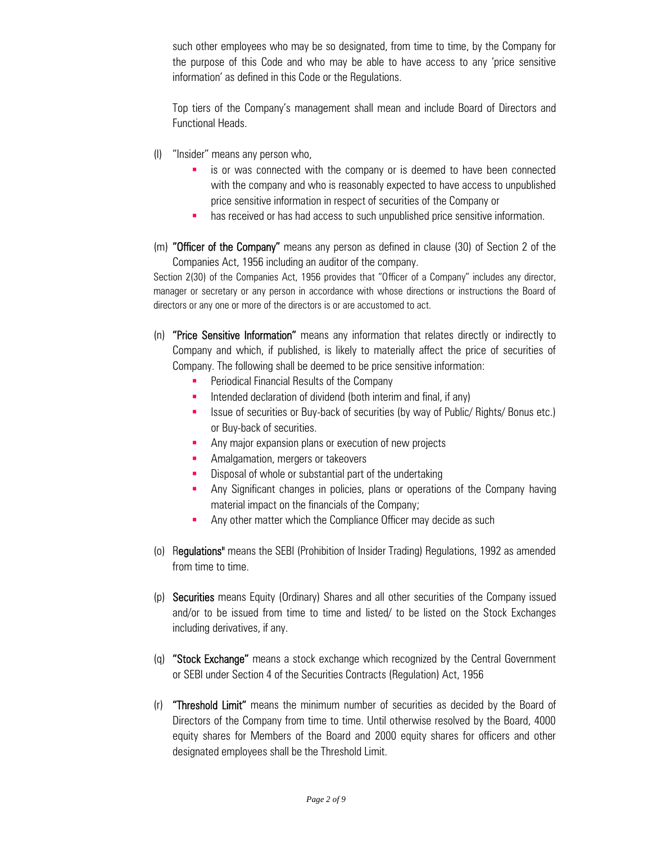such other employees who may be so designated, from time to time, by the Company for the purpose of this Code and who may be able to have access to any 'price sensitive information' as defined in this Code or the Regulations.

Top tiers of the Company's management shall mean and include Board of Directors and Functional Heads.

- (l) "Insider" means any person who,
	- is or was connected with the company or is deemed to have been connected with the company and who is reasonably expected to have access to unpublished price sensitive information in respect of securities of the Company or
	- **has received or has had access to such unpublished price sensitive information.**
- (m) "Officer of the Company" means any person as defined in clause (30) of Section 2 of the Companies Act, 1956 including an auditor of the company.

Section 2(30) of the Companies Act, 1956 provides that "Officer of a Company" includes any director, manager or secretary or any person in accordance with whose directions or instructions the Board of directors or any one or more of the directors is or are accustomed to act.

- (n) "Price Sensitive Information" means any information that relates directly or indirectly to Company and which, if published, is likely to materially affect the price of securities of Company. The following shall be deemed to be price sensitive information:
	- Periodical Financial Results of the Company
	- Intended declaration of dividend (both interim and final, if any)
	- Issue of securities or Buy-back of securities (by way of Public/ Rights/ Bonus etc.) or Buy-back of securities.
	- Any major expansion plans or execution of new projects
	- **Amalgamation, mergers or takeovers**
	- **Disposal of whole or substantial part of the undertaking**
	- Any Significant changes in policies, plans or operations of the Company having material impact on the financials of the Company;
	- **Any other matter which the Compliance Officer may decide as such**
- (o) Regulations" means the SEBI (Prohibition of Insider Trading) Regulations, 1992 as amended from time to time.
- (p) Securities means Equity (Ordinary) Shares and all other securities of the Company issued and/or to be issued from time to time and listed/ to be listed on the Stock Exchanges including derivatives, if any.
- (q) "Stock Exchange" means a stock exchange which recognized by the Central Government or SEBI under Section 4 of the Securities Contracts (Regulation) Act, 1956
- (r) "Threshold Limit" means the minimum number of securities as decided by the Board of Directors of the Company from time to time. Until otherwise resolved by the Board, 4000 equity shares for Members of the Board and 2000 equity shares for officers and other designated employees shall be the Threshold Limit.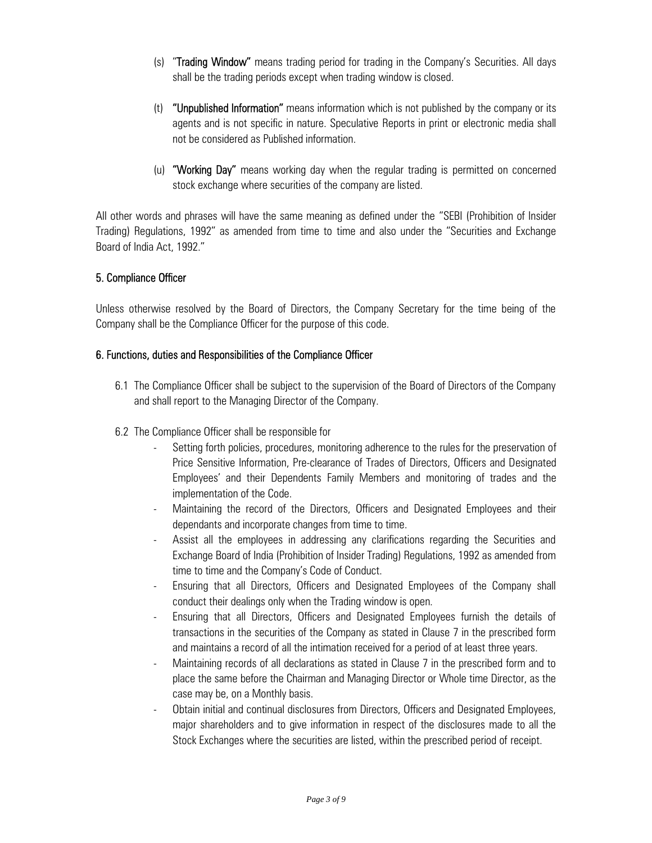- (s) "Trading Window" means trading period for trading in the Company's Securities. All days shall be the trading periods except when trading window is closed.
- (t) "Unpublished Information" means information which is not published by the company or its agents and is not specific in nature. Speculative Reports in print or electronic media shall not be considered as Published information.
- (u) "Working Day" means working day when the regular trading is permitted on concerned stock exchange where securities of the company are listed.

All other words and phrases will have the same meaning as defined under the "SEBI (Prohibition of Insider Trading) Regulations, 1992" as amended from time to time and also under the "Securities and Exchange Board of India Act, 1992."

### 5. Compliance Officer

Unless otherwise resolved by the Board of Directors, the Company Secretary for the time being of the Company shall be the Compliance Officer for the purpose of this code.

### 6. Functions, duties and Responsibilities of the Compliance Officer

- 6.1 The Compliance Officer shall be subject to the supervision of the Board of Directors of the Company and shall report to the Managing Director of the Company.
- 6.2 The Compliance Officer shall be responsible for
	- Setting forth policies, procedures, monitoring adherence to the rules for the preservation of Price Sensitive Information, Pre-clearance of Trades of Directors, Officers and Designated Employees' and their Dependents Family Members and monitoring of trades and the implementation of the Code.
	- Maintaining the record of the Directors, Officers and Designated Employees and their dependants and incorporate changes from time to time.
	- Assist all the employees in addressing any clarifications regarding the Securities and Exchange Board of India (Prohibition of Insider Trading) Regulations, 1992 as amended from time to time and the Company's Code of Conduct.
	- Ensuring that all Directors, Officers and Designated Employees of the Company shall conduct their dealings only when the Trading window is open.
	- Ensuring that all Directors, Officers and Designated Employees furnish the details of transactions in the securities of the Company as stated in Clause 7 in the prescribed form and maintains a record of all the intimation received for a period of at least three years.
	- Maintaining records of all declarations as stated in Clause 7 in the prescribed form and to place the same before the Chairman and Managing Director or Whole time Director, as the case may be, on a Monthly basis.
	- Obtain initial and continual disclosures from Directors, Officers and Designated Employees, major shareholders and to give information in respect of the disclosures made to all the Stock Exchanges where the securities are listed, within the prescribed period of receipt.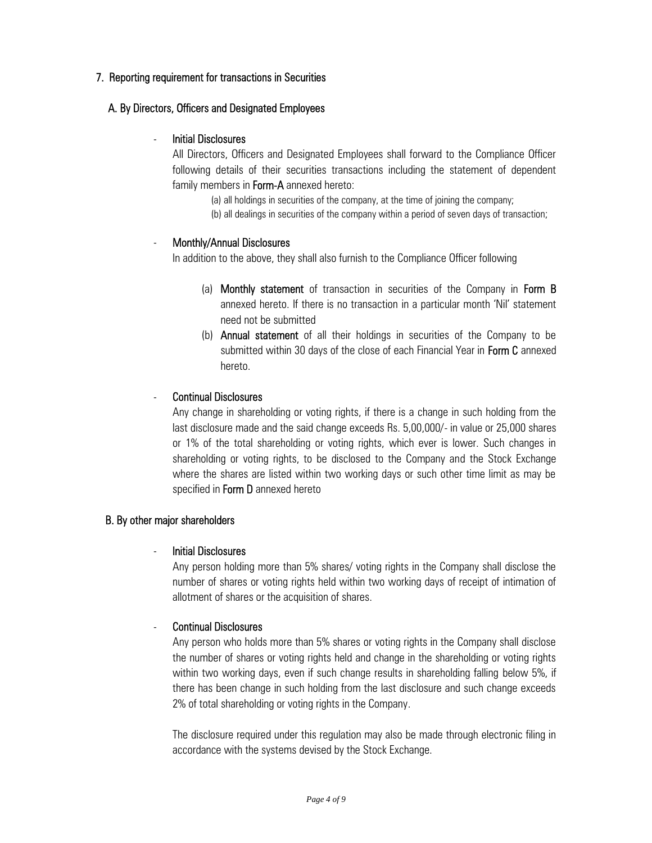### 7. Reporting requirement for transactions in Securities

### A. By Directors, Officers and Designated Employees

### - Initial Disclosures

All Directors, Officers and Designated Employees shall forward to the Compliance Officer following details of their securities transactions including the statement of dependent family members in **Form-A** annexed hereto:

> (a) all holdings in securities of the company, at the time of joining the company; (b) all dealings in securities of the company within a period of seven days of transaction;

### Monthly/Annual Disclosures

In addition to the above, they shall also furnish to the Compliance Officer following

- (a) Monthly statement of transaction in securities of the Company in Form B annexed hereto. If there is no transaction in a particular month 'Nil' statement need not be submitted
- (b) Annual statement of all their holdings in securities of the Company to be submitted within 30 days of the close of each Financial Year in Form C annexed hereto.

### - Continual Disclosures

Any change in shareholding or voting rights, if there is a change in such holding from the last disclosure made and the said change exceeds Rs. 5,00,000/- in value or 25,000 shares or 1% of the total shareholding or voting rights, which ever is lower. Such changes in shareholding or voting rights, to be disclosed to the Company and the Stock Exchange where the shares are listed within two working days or such other time limit as may be specified in Form D annexed hereto

### B. By other major shareholders

#### - Initial Disclosures

Any person holding more than 5% shares/ voting rights in the Company shall disclose the number of shares or voting rights held within two working days of receipt of intimation of allotment of shares or the acquisition of shares.

### - Continual Disclosures

Any person who holds more than 5% shares or voting rights in the Company shall disclose the number of shares or voting rights held and change in the shareholding or voting rights within two working days, even if such change results in shareholding falling below 5%, if there has been change in such holding from the last disclosure and such change exceeds 2% of total shareholding or voting rights in the Company.

The disclosure required under this regulation may also be made through electronic filing in accordance with the systems devised by the Stock Exchange.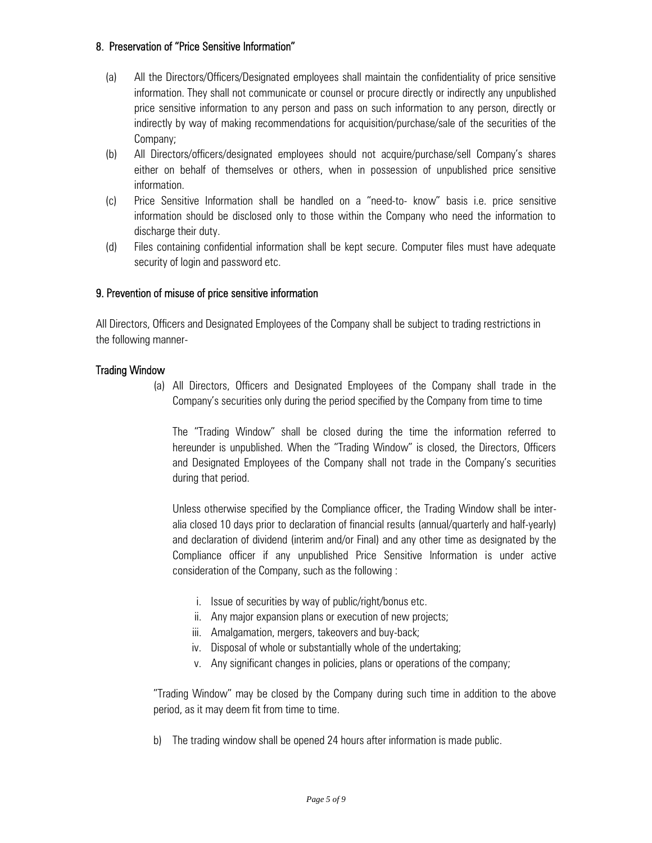### 8. Preservation of "Price Sensitive Information"

- (a) All the Directors/Officers/Designated employees shall maintain the confidentiality of price sensitive information. They shall not communicate or counsel or procure directly or indirectly any unpublished price sensitive information to any person and pass on such information to any person, directly or indirectly by way of making recommendations for acquisition/purchase/sale of the securities of the Company;
- (b) All Directors/officers/designated employees should not acquire/purchase/sell Company's shares either on behalf of themselves or others, when in possession of unpublished price sensitive information.
- (c) Price Sensitive Information shall be handled on a "need-to- know" basis i.e. price sensitive information should be disclosed only to those within the Company who need the information to discharge their duty.
- (d) Files containing confidential information shall be kept secure. Computer files must have adequate security of login and password etc.

### 9. Prevention of misuse of price sensitive information

All Directors, Officers and Designated Employees of the Company shall be subject to trading restrictions in the following manner-

#### Trading Window

(a) All Directors, Officers and Designated Employees of the Company shall trade in the Company's securities only during the period specified by the Company from time to time

The "Trading Window" shall be closed during the time the information referred to hereunder is unpublished. When the "Trading Window" is closed, the Directors, Officers and Designated Employees of the Company shall not trade in the Company's securities during that period.

Unless otherwise specified by the Compliance officer, the Trading Window shall be interalia closed 10 days prior to declaration of financial results (annual/quarterly and half-yearly) and declaration of dividend (interim and/or Final) and any other time as designated by the Compliance officer if any unpublished Price Sensitive Information is under active consideration of the Company, such as the following :

- i. Issue of securities by way of public/right/bonus etc.
- ii. Any major expansion plans or execution of new projects;
- iii. Amalgamation, mergers, takeovers and buy-back;
- iv. Disposal of whole or substantially whole of the undertaking;
- v. Any significant changes in policies, plans or operations of the company;

"Trading Window" may be closed by the Company during such time in addition to the above period, as it may deem fit from time to time.

b) The trading window shall be opened 24 hours after information is made public.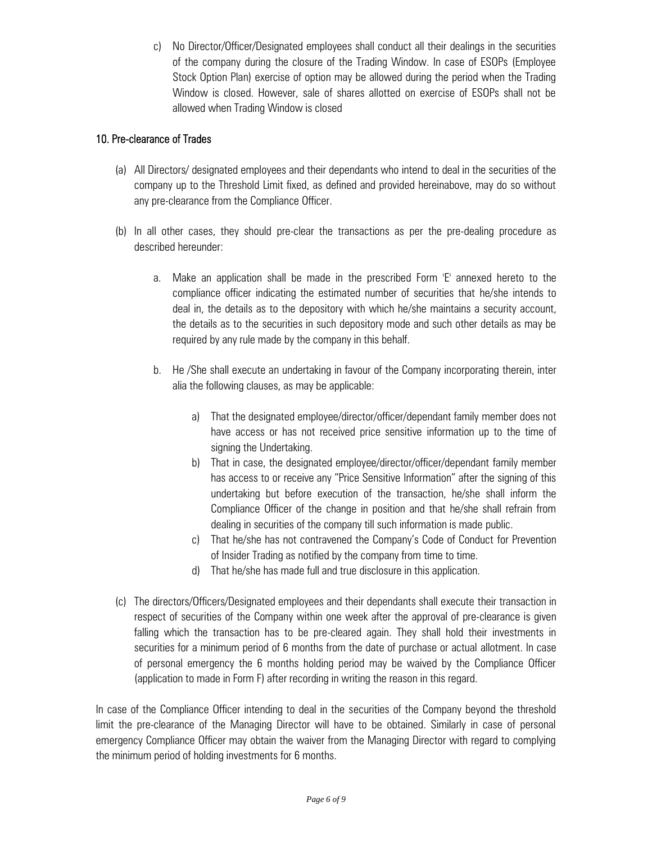c) No Director/Officer/Designated employees shall conduct all their dealings in the securities of the company during the closure of the Trading Window. In case of ESOPs (Employee Stock Option Plan) exercise of option may be allowed during the period when the Trading Window is closed. However, sale of shares allotted on exercise of ESOPs shall not be allowed when Trading Window is closed

## 10. Pre-clearance of Trades

- (a) All Directors/ designated employees and their dependants who intend to deal in the securities of the company up to the Threshold Limit fixed, as defined and provided hereinabove, may do so without any pre-clearance from the Compliance Officer.
- (b) In all other cases, they should pre-clear the transactions as per the pre-dealing procedure as described hereunder:
	- a. Make an application shall be made in the prescribed Form 'E' annexed hereto to the compliance officer indicating the estimated number of securities that he/she intends to deal in, the details as to the depository with which he/she maintains a security account, the details as to the securities in such depository mode and such other details as may be required by any rule made by the company in this behalf.
	- b. He /She shall execute an undertaking in favour of the Company incorporating therein, inter alia the following clauses, as may be applicable:
		- a) That the designated employee/director/officer/dependant family member does not have access or has not received price sensitive information up to the time of signing the Undertaking.
		- b) That in case, the designated employee/director/officer/dependant family member has access to or receive any "Price Sensitive Information" after the signing of this undertaking but before execution of the transaction, he/she shall inform the Compliance Officer of the change in position and that he/she shall refrain from dealing in securities of the company till such information is made public.
		- c) That he/she has not contravened the Company's Code of Conduct for Prevention of Insider Trading as notified by the company from time to time.
		- d) That he/she has made full and true disclosure in this application.
- (c) The directors/Officers/Designated employees and their dependants shall execute their transaction in respect of securities of the Company within one week after the approval of pre-clearance is given falling which the transaction has to be pre-cleared again. They shall hold their investments in securities for a minimum period of 6 months from the date of purchase or actual allotment. In case of personal emergency the 6 months holding period may be waived by the Compliance Officer (application to made in Form F) after recording in writing the reason in this regard.

In case of the Compliance Officer intending to deal in the securities of the Company beyond the threshold limit the pre-clearance of the Managing Director will have to be obtained. Similarly in case of personal emergency Compliance Officer may obtain the waiver from the Managing Director with regard to complying the minimum period of holding investments for 6 months.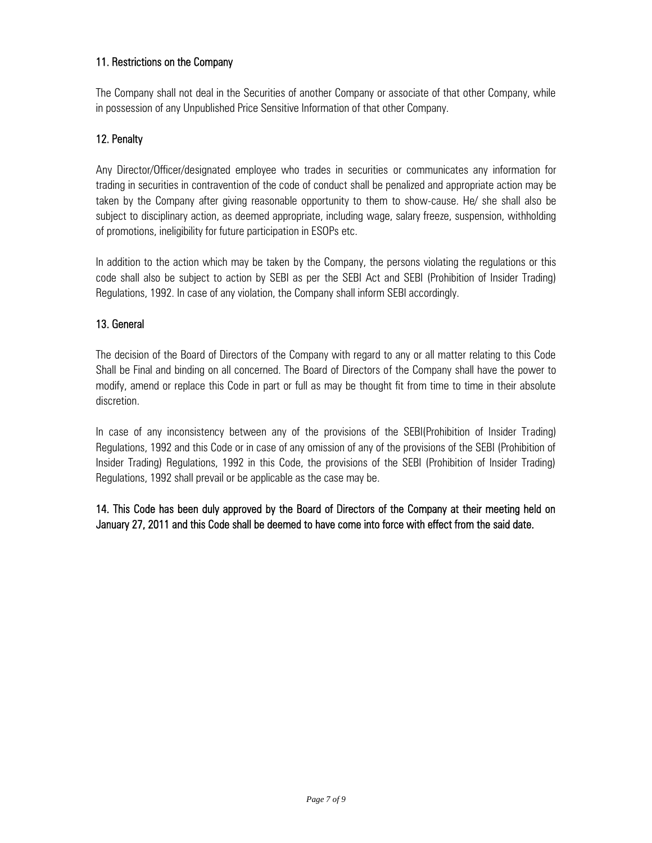## 11. Restrictions on the Company

The Company shall not deal in the Securities of another Company or associate of that other Company, while in possession of any Unpublished Price Sensitive Information of that other Company.

## 12. Penalty

Any Director/Officer/designated employee who trades in securities or communicates any information for trading in securities in contravention of the code of conduct shall be penalized and appropriate action may be taken by the Company after giving reasonable opportunity to them to show-cause. He/ she shall also be subject to disciplinary action, as deemed appropriate, including wage, salary freeze, suspension, withholding of promotions, ineligibility for future participation in ESOPs etc.

In addition to the action which may be taken by the Company, the persons violating the regulations or this code shall also be subject to action by SEBI as per the SEBI Act and SEBI (Prohibition of Insider Trading) Regulations, 1992. In case of any violation, the Company shall inform SEBI accordingly.

### 13. General

The decision of the Board of Directors of the Company with regard to any or all matter relating to this Code Shall be Final and binding on all concerned. The Board of Directors of the Company shall have the power to modify, amend or replace this Code in part or full as may be thought fit from time to time in their absolute discretion.

In case of any inconsistency between any of the provisions of the SEBI(Prohibition of Insider Trading) Regulations, 1992 and this Code or in case of any omission of any of the provisions of the SEBI (Prohibition of Insider Trading) Regulations, 1992 in this Code, the provisions of the SEBI (Prohibition of Insider Trading) Regulations, 1992 shall prevail or be applicable as the case may be.

14. This Code has been duly approved by the Board of Directors of the Company at their meeting held on January 27, 2011 and this Code shall be deemed to have come into force with effect from the said date.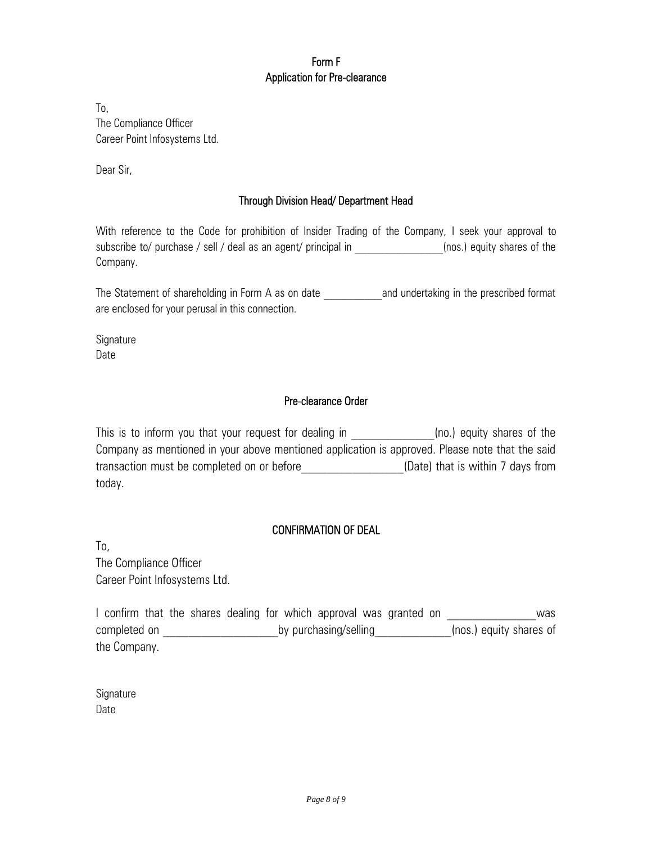# Form F Application for Pre-clearance

To, The Compliance Officer Career Point Infosystems Ltd.

Dear Sir,

## Through Division Head/ Department Head

With reference to the Code for prohibition of Insider Trading of the Company, I seek your approval to subscribe to/ purchase / sell / deal as an agent/ principal in \_\_\_\_\_\_\_\_\_\_\_\_\_\_\_(nos.) equity shares of the Company.

The Statement of shareholding in Form A as on date **The and undertaking in the prescribed format** are enclosed for your perusal in this connection.

**Signature** Date

### Pre-clearance Order

This is to inform you that your request for dealing in  $(no.)$  equity shares of the Company as mentioned in your above mentioned application is approved. Please note that the said transaction must be completed on or before **than** (Date) that is within 7 days from today.

### CONFIRMATION OF DEAL

To, The Compliance Officer Career Point Infosystems Ltd.

I confirm that the shares dealing for which approval was granted on **Example 20** was completed on  $\rule{1em}{0.15mm}$  by purchasing/selling  $\rule{1em}{0.15mm}$  (nos.) equity shares of the Company.

| Signature |  |
|-----------|--|
| Date      |  |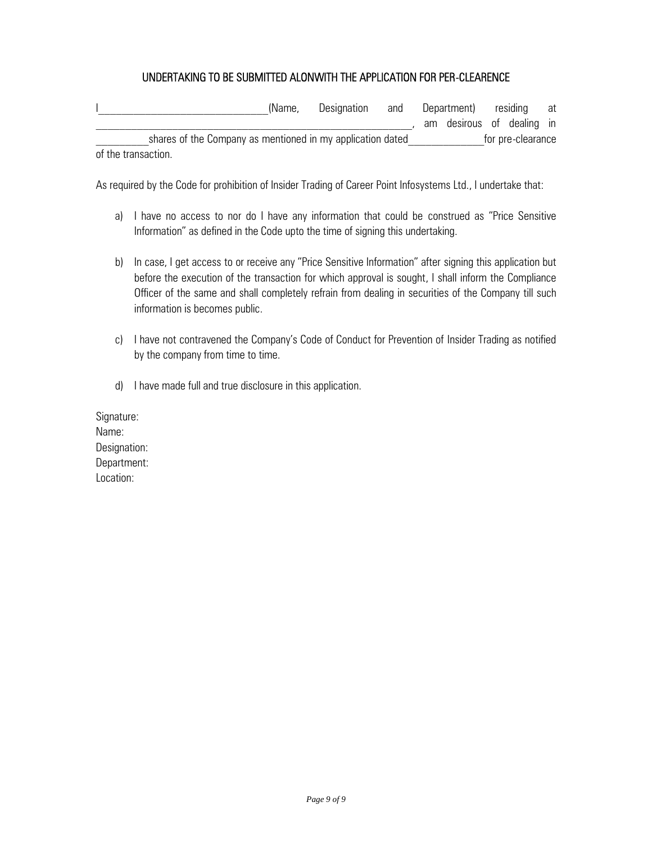## UNDERTAKING TO BE SUBMITTED ALONWITH THE APPLICATION FOR PER-CLEARENCE

|                     |                                                            | (Name, | Designation | and | Department) residing |                           |  |  | at |
|---------------------|------------------------------------------------------------|--------|-------------|-----|----------------------|---------------------------|--|--|----|
|                     |                                                            |        |             |     |                      | am desirous of dealing in |  |  |    |
|                     | shares of the Company as mentioned in my application dated |        |             |     |                      | for pre-clearance         |  |  |    |
| of the transaction. |                                                            |        |             |     |                      |                           |  |  |    |

As required by the Code for prohibition of Insider Trading of Career Point Infosystems Ltd., I undertake that:

- a) I have no access to nor do I have any information that could be construed as "Price Sensitive Information" as defined in the Code upto the time of signing this undertaking.
- b) In case, I get access to or receive any "Price Sensitive Information" after signing this application but before the execution of the transaction for which approval is sought, I shall inform the Compliance Officer of the same and shall completely refrain from dealing in securities of the Company till such information is becomes public.
- c) I have not contravened the Company's Code of Conduct for Prevention of Insider Trading as notified by the company from time to time.
- d) I have made full and true disclosure in this application.

Signature: Name: Designation: Department: Location: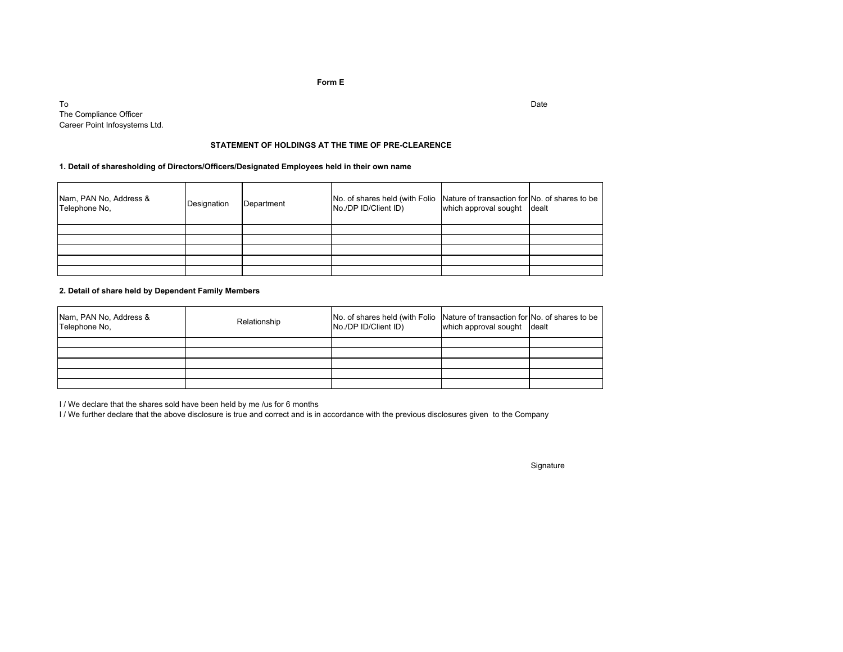#### **Form E**

Too and the contract of the contract of the contract of the contract of the contract of the contract of the contract of the contract of the contract of the contract of the contract of the contract of the contract of the cont The Compliance OfficerCareer Point Infosystems Ltd.

#### **STATEMENT OF HOLDINGS AT THE TIME OF PRE-CLEARENCE**

#### **1. Detail of sharesholding of Directors/Officers/Designated Employees held in their own name**

| Nam, PAN No, Address &<br>Telephone No, | Designation | Department | No. of shares held (with Folio Nature of transaction for No. of shares to be<br>No./DP ID/Client ID) | which approval sought dealt |  |
|-----------------------------------------|-------------|------------|------------------------------------------------------------------------------------------------------|-----------------------------|--|
|                                         |             |            |                                                                                                      |                             |  |
|                                         |             |            |                                                                                                      |                             |  |
|                                         |             |            |                                                                                                      |                             |  |
|                                         |             |            |                                                                                                      |                             |  |
|                                         |             |            |                                                                                                      |                             |  |

#### **2. Detail of share held by Dependent Family Members**

| Nam, PAN No, Address &<br>Telephone No. | Relationship | No. of shares held (with Folio Nature of transaction for No. of shares to be<br>No./DP ID/Client ID) | which approval sought dealt |  |
|-----------------------------------------|--------------|------------------------------------------------------------------------------------------------------|-----------------------------|--|
|                                         |              |                                                                                                      |                             |  |
|                                         |              |                                                                                                      |                             |  |
|                                         |              |                                                                                                      |                             |  |
|                                         |              |                                                                                                      |                             |  |
|                                         |              |                                                                                                      |                             |  |

I / We declare that the shares sold have been held by me /us for 6 months

I / We further declare that the above disclosure is true and correct and is in accordance with the previous disclosures given to the Company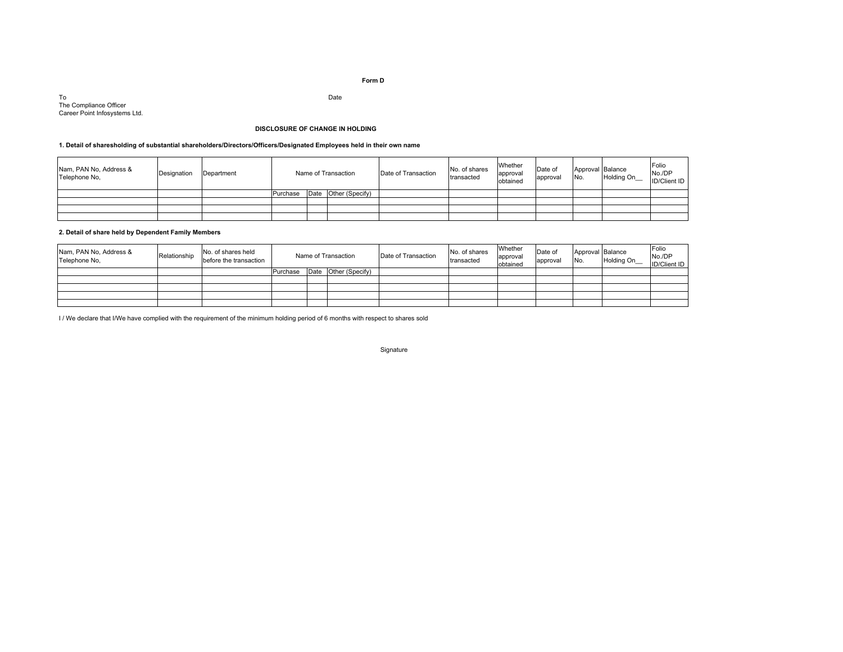#### **Form D**

ToTo<br>The Compliance Officer Date Career Point Infosystems Ltd.

#### **DISCLOSURE OF CHANGE IN HOLDING**

#### **1. Detail of sharesholding of substantial shareholders/Directors/Officers/Designated Employees held in their own name**

| Nam, PAN No, Address &<br>Telephone No. | Designation | Department | Name of Transaction |  | Date of Transaction  | No. of shares<br>transacted | Whether<br>approval<br>obtained | Date of<br>approval | Approval Balance<br>No. | <b>Holding On</b> | Folio<br>No./DP<br><b>ID/Client ID</b> |  |
|-----------------------------------------|-------------|------------|---------------------|--|----------------------|-----------------------------|---------------------------------|---------------------|-------------------------|-------------------|----------------------------------------|--|
|                                         |             |            | Purchase            |  | Date Other (Specify) |                             |                                 |                     |                         |                   |                                        |  |
|                                         |             |            |                     |  |                      |                             |                                 |                     |                         |                   |                                        |  |
|                                         |             |            |                     |  |                      |                             |                                 |                     |                         |                   |                                        |  |
|                                         |             |            |                     |  |                      |                             |                                 |                     |                         |                   |                                        |  |

#### **2. Detail of share held by Dependent Family Members**

| Nam, PAN No, Address &<br>Telephone No, | Relationship | No. of shares held<br>before the transaction | Name of Transaction |      | Date of Transaction | No. of shares<br>transacted | Whether<br>approval<br>obtained | Date of<br>approval | Approval Balance<br>No. | Holding On_ | Folio<br>No./DP<br><b>ID/Client ID</b> |  |
|-----------------------------------------|--------------|----------------------------------------------|---------------------|------|---------------------|-----------------------------|---------------------------------|---------------------|-------------------------|-------------|----------------------------------------|--|
|                                         |              |                                              | Purchase            | Date | Other (Specify)     |                             |                                 |                     |                         |             |                                        |  |
|                                         |              |                                              |                     |      |                     |                             |                                 |                     |                         |             |                                        |  |
|                                         |              |                                              |                     |      |                     |                             |                                 |                     |                         |             |                                        |  |
|                                         |              |                                              |                     |      |                     |                             |                                 |                     |                         |             |                                        |  |
|                                         |              |                                              |                     |      |                     |                             |                                 |                     |                         |             |                                        |  |

I / We declare that I/We have complied with the requirement of the minimum holding period of 6 months with respect to shares sold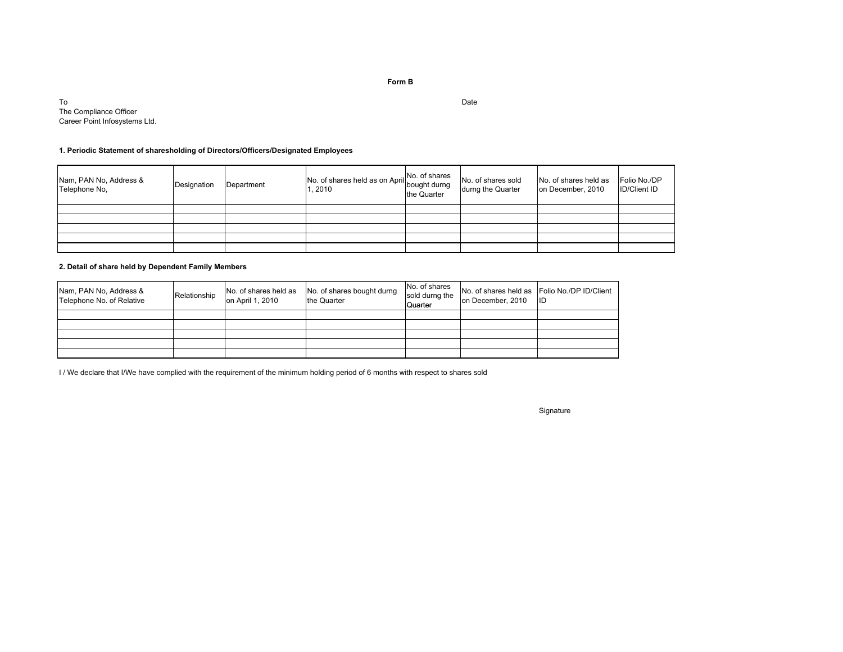**Form B**

Too dia amin'ny faritr'i Normandie, ao amin'ny faritr'i Normandie, ao amin'ny faritr'i Normandie, ao Frantsa.<br>Ny INSEE dia mampiasa ny kaodim-paositra 60080.<br>I Gérard Marchanton no ben'ny tanàna mandritry ny taona 2008–2014. The Compliance OfficerCareer Point Infosystems Ltd.

#### **1. Periodic Statement of sharesholding of Directors/Officers/Designated Employees**

| Nam, PAN No, Address &<br>Telephone No. | Designation | Department | No. of shares held as on April No. of shares<br>. 2010 | the Quarter | No. of shares sold<br>durng the Quarter | No. of shares held as<br>on December, 2010 | Folio No./DP<br><b>ID/Client ID</b> |
|-----------------------------------------|-------------|------------|--------------------------------------------------------|-------------|-----------------------------------------|--------------------------------------------|-------------------------------------|
|                                         |             |            |                                                        |             |                                         |                                            |                                     |
|                                         |             |            |                                                        |             |                                         |                                            |                                     |
|                                         |             |            |                                                        |             |                                         |                                            |                                     |
|                                         |             |            |                                                        |             |                                         |                                            |                                     |
|                                         |             |            |                                                        |             |                                         |                                            |                                     |

#### **2. Detail of share held by Dependent Family Members**

| Nam, PAN No, Address &<br>Telephone No. of Relative | Relationship | No. of shares held as<br>on April 1, 2010 | No. of shares bought durng<br>the Quarter | No. of shares<br>sold durng the<br>Quarter | No. of shares held as Folio No./DP ID/Client<br>on December, 2010 | <b>IID</b> |
|-----------------------------------------------------|--------------|-------------------------------------------|-------------------------------------------|--------------------------------------------|-------------------------------------------------------------------|------------|
|                                                     |              |                                           |                                           |                                            |                                                                   |            |
|                                                     |              |                                           |                                           |                                            |                                                                   |            |
|                                                     |              |                                           |                                           |                                            |                                                                   |            |
|                                                     |              |                                           |                                           |                                            |                                                                   |            |
|                                                     |              |                                           |                                           |                                            |                                                                   |            |

I / We declare that I/We have complied with the requirement of the minimum holding period of 6 months with respect to shares sold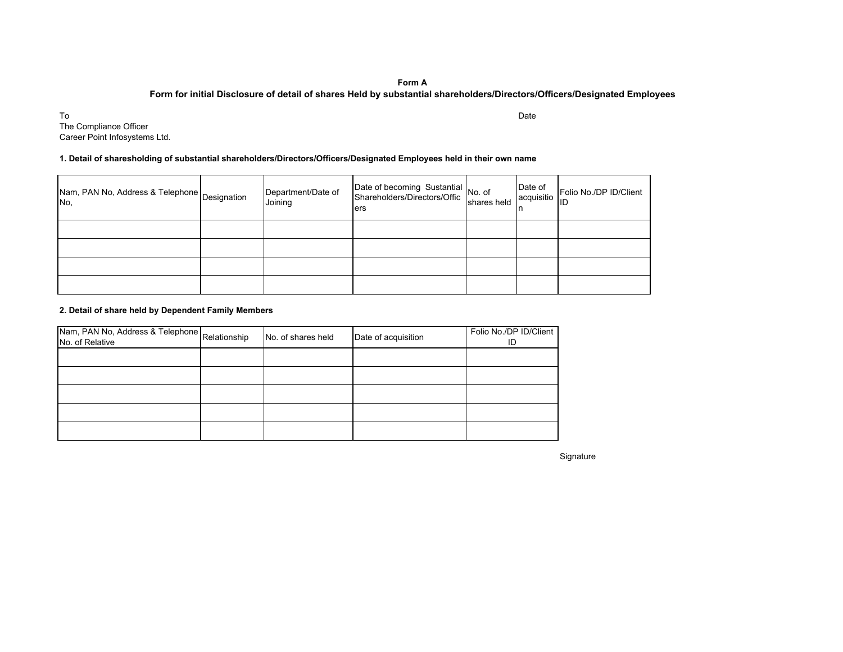#### **Form A**

#### **Form for initial Disclosure of detail of shares Held by substantial shareholders/Directors/Officers/Designated Employees**

Too and the contract of the contract of the contract of the contract of the contract of the contract of the contract of the contract of the contract of the contract of the contract of the contract of the contract of the cont The Compliance OfficerCareer Point Infosystems Ltd.

#### **1. Detail of sharesholding of substantial shareholders/Directors/Officers/Designated Employees held in their own name**

| Nam, PAN No, Address & Telephone   Designation<br>No. | Department/Date of<br>Joining | Date of becoming Sustantial<br>Shareholders/Directors/Offic<br>shares held<br>ers | Date of<br>acquisitio | Folio No./DP ID/Client<br>ID |
|-------------------------------------------------------|-------------------------------|-----------------------------------------------------------------------------------|-----------------------|------------------------------|
|                                                       |                               |                                                                                   |                       |                              |
|                                                       |                               |                                                                                   |                       |                              |
|                                                       |                               |                                                                                   |                       |                              |
|                                                       |                               |                                                                                   |                       |                              |

#### **2. Detail of share held by Dependent Family Members**

| Nam, PAN No, Address & Telephone Relationship<br>No. of Relative | No. of shares held | Date of acquisition | Folio No./DP ID/Client<br>ID |
|------------------------------------------------------------------|--------------------|---------------------|------------------------------|
|                                                                  |                    |                     |                              |
|                                                                  |                    |                     |                              |
|                                                                  |                    |                     |                              |
|                                                                  |                    |                     |                              |
|                                                                  |                    |                     |                              |